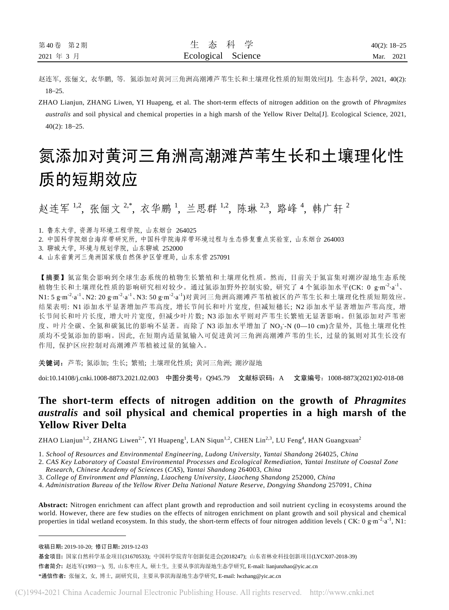赵连军, 张俪文, 衣华鹏, 等. 氮添加对黄河三角洲高潮滩芦苇生长和土壤理化性质的短期效应[J]. 生态科学, 2021, 40(2): 18–25.

ZHAO Lianjun, ZHANG Liwen, YI Huapeng, et al. The short-term effects of nitrogen addition on the growth of *Phragmites australis* and soil physical and chemical properties in a high marsh of the Yellow River Delta[J]. Ecological Science, 2021, 40(2): 18–25.

# 氮添加对黄河三角洲高潮滩芦苇生长和土壤理化性 质的短期效应

赵连军<sup>1,2</sup>, 张俪文<sup>2,\*</sup>, 衣华鹏<sup>1</sup>, 兰思群<sup>1,2</sup>, 陈琳<sup>2,3</sup>, 路峰<sup>4</sup>, 韩广轩<sup>2</sup>

1. 鲁东大学, 资源与环境工程学院, 山东烟台 264025

2. 中国科学院烟台海岸带研究所, 中国科学院海岸带环境过程与生态修复重点实验室, 山东烟台 264003

3. 聊城大学, 环境与规划学院, 山东聊城 252000

4. 山东省黄河三角洲国家级自然保护区管理局, 山东东营 257091

【摘要】氮富集会影响到全球生态系统的植物生长繁殖和土壤理化性质。然而, 目前关于氮富集对潮汐湿地生态系统 植物生长和土壤理化性质的影响研究相对较少。通过氮添加野外控制实验, 研究了 4 个氮添加水平(CK: 0 g·m-2·a-1、 N1: 5 g·m<sup>-2</sup>·a<sup>-1</sup>、N2: 20 g·m<sup>-2</sup>·a<sup>-1</sup>、N3: 50 g·m<sup>-2</sup>·a<sup>-1</sup>)对黄河三角洲高潮滩芦苇植被区的芦苇生长和土壤理化性质短期效应。 结果表明: N1 添加水平显著增加芦苇高度, 增长节间长和叶片宽度, 但减短穗长; N2 添加水平显著增加芦苇高度, 增 长节间长和叶片长度, 增大叶片宽度, 但减少叶片数; N3 添加水平则对芦苇生长繁殖无显著影响。但氮添加对芦苇密 度、叶片全碳、全氮和碳氮比的影响不显著。而除了 N3 添加水平增加了 NO<sub>3</sub> -N (0-10 cm)含量外, 其他土壤理化性 质均不受氮添加的影响。因此, 在短期内适量氮输入可促进黄河三角洲高潮滩芦苇的生长, 过量的氮则对其生长没有 作用, 保护区应控制对高潮滩芦苇植被过量的氮输入。

关键词:芦苇; 氮添加; 生长; 繁殖; 土壤理化性质; 黄河三角洲; 潮汐湿地

doi:10.14108/j.cnki.1008-8873.2021.02.003 中图分类号:Q945.79 文献标识码:A 文章编号:1008-8873(2021)02-018-08

## **The short-term effects of nitrogen addition on the growth of** *Phragmites australis* **and soil physical and chemical properties in a high marsh of the Yellow River Delta**

ZHAO Lianjun $^{1,2}$ , ZHANG Liwen $^{2, *},$  YI Huapeng $^{1},$  LAN Siqun $^{1, 2},$  CHEN Lin $^{2, 3},$  LU Feng $^{4},$  HAN Guangxuan $^{2}$ 

1. *School of Resources and Environmental Engineering*, *Ludong University*, *Yantai Shandong* 264025, *China* 

- 2. *CAS Key Laboratory of Coastal Environmental Processes and Ecological Remediation*, *Yantai Institute of Coastal Zone*
- *Research*, *Chinese Academy of Sciences* (*CAS*), *Yantai Shandong* 264003, *China*

4. *Administration Bureau of the Yellow River Delta National Nature Reserve*, *Dongying Shandong* 257091, *China* 

**Abstract:** Nitrogen enrichment can affect plant growth and reproduction and soil nutrient cycling in ecosystems around the world. However, there are few studies on the effects of nitrogen enrichment on plant growth and soil physical and chemical properties in tidal wetland ecosystem. In this study, the short-term effects of four nitrogen addition levels (CK: 0 g·m<sup>-2</sup>·a<sup>-1</sup>, N1:

<sup>3.</sup> *College of Environment and Planning*, *Liaocheng University*, *Liaocheng Shandong* 252000, *China* 

收稿日期**:** 2019-10-20; 修订日期**:** 2019-12-03

基金项目**:** 国家自然科学基金项目(31670533); 中国科学院青年创新促进会(2018247); 山东省林业科技创新项目(LYCX07-2018-39)

作者简介**:** 赵连军(1993—), 男, 山东枣庄人, 硕士生, 主要从事滨海湿地生态学研究, E-mail: lianjunzhao@yic.ac.cn

<sup>\*</sup>通信作者**:** 张俪文, 女, 博士, 副研究员, 主要从事滨海湿地生态学研究, E-mail: lwzhang@yic.ac.cn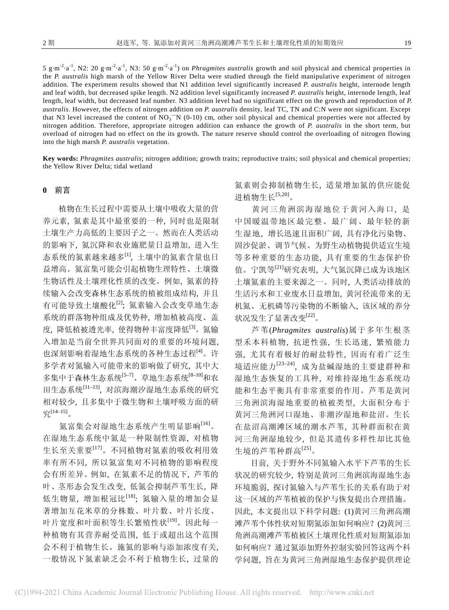5 g·m-2·a-1, N2: 20 g·m-2·a-1, N3: 50 g·m-2·a-1) on *Phragmites australis* growth and soil physical and chemical properties in the *P. australis* high marsh of the Yellow River Delta were studied through the field manipulative experiment of nitrogen addition. The experiment results showed that N1 addition level significantly increased *P. australis* height, internode length and leaf width, but decreased spike length. N2 addition level significantly increased *P. australis* height, internode length, leaf length, leaf width, but decreased leaf number. N3 addition level had no significant effect on the growth and reproduction of *P. australis*. However, the effects of nitrogen addition on *P. australis* density, leaf TC, TN and C:N were not significant. Except that N3 level increased the content of  $NO_3$ <sup>-</sup>N (0-10) cm, other soil physical and chemical properties were not affected by nitrogen addition. Therefore, appropriate nitrogen addition can enhance the growth of *P. australis* in the short term, but overload of nitrogen had no effect on the its growth. The nature reserve should control the overloading of nitrogen flowing into the high marsh *P. australis* vegetation.

**Key words:** *Phragmites australis*; nitrogen addition; growth traits; reproductive traits; soil physical and chemical properties; the Yellow River Delta; tidal wetland

### **0** 前言

植物在生长过程中需要从土壤中吸收大量的营 养元素, 氮素是其中最重要的一种, 同时也是限制 土壤生产力高低的主要因子之一。然而在人类活动 的影响下, 氮沉降和农业施肥量日益增加, 进入生 态系统的氮素越来越多[1], 土壤中的氮素含量也日 益增高。氮富集可能会引起植物生理特性、土壤微 生物活性及土壤理化性质的改变。例如, 氮素的持 续输入会改变森林生态系统的植被组成结构, 并且 有可能导致土壤酸化[2]; 氮素输入会改变草地生态 系统的群落物种组成及优势种, 增加植被高度、盖 度, 降低植被透光率, 使得物种丰富度降低[3]。氮输 入增加是当前全世界共同面对的重要的环境问题, 也深刻影响着湿地生态系统的各种生态过程[4]。许 多学者对氮输入可能带来的影响做了研究, 其中大 多集中于森林生态系统[5-7]、草地生态系统[8-10]和农 田生态系统[11–13], 对滨海潮汐湿地生态系统的研究 相对较少, 且多集中于微生物和土壤呼吸方面的研 究[14–15]。

氮富集会对湿地生态系统产生明显影响[16]。 在湿地生态系统中氮是一种限制性资源, 对植物 生长至关重要[17]。不同植物对氮素的吸收利用效 率有所不同, 所以氮富集对不同植物的影响程度 会有所差异。例如, 在氮素不足的情况下, 芦苇的 叶、茎形态会发生改变, 低氮会抑制芦苇生长, 降 低生物量, 增加根冠比[18]; 氮输入量的增加会显 著增加互花米草的分株数、叶片数、叶片长度、 叶片宽度和叶面积等生长繁殖性状[19]。因此每一 种植物有其营养耐受范围, 低于或超出这个范围 会不利于植物生长。施氮的影响与添加浓度有关, 一般情况下氮素缺乏会不利于植物生长, 过量的

氮素则会抑制植物生长, 适量增加氮的供应能促 进植物生长[5,20]。

黄河三角洲滨海湿地位于黄河入海口, 是 中国暖温带地区最完整、最广阔、最年轻的新 生湿地, 增长迅速且面积广阔, 具有净化污染物、 固沙促淤、调节气候、为野生动植物提供适宜生境 等多种重要的生态功能, 具有重要的生态保护价 值。宁凯等[21]研究表明, 大气氮沉降已成为该地区 土壤氮素的主要来源之一。同时, 人类活动排放的 生活污水和工业废水日益增加, 黄河径流带来的无 机氮、无机磷等污染物的不断输入, 该区域的养分 状况发生了显著改变[22]。

芦苇(*Phragmites australis*)属于多年生根茎 型禾本科植物, 抗逆性强, 生长迅速, 繁殖能力 强, 尤其有着极好的耐盐特性, 因而有着广泛生 境适应能力[23–24], 成为盐碱湿地的主要建群种和 湿地生态恢复的工具种, 对维持湿地生态系统功 能和生态平衡具有非常重要的作用。芦苇是黄河 三角洲滨海湿地重要的植被类型, 大面积分布于 黄河三角洲河口湿地、非潮汐湿地和盐沼。生长 在盐沼高潮滩区域的潮水芦苇, 其种群面积在黄 河三角洲湿地较少, 但是其遗传多样性却比其他 生境的芦苇种群高[25]。

目前, 关于野外不同氮输入水平下芦苇的生长 状况的研究较少, 特别是黄河三角洲滨海湿地生态 环境脆弱, 探讨氮输入与芦苇生长的关系有助于对 这一区域的芦苇植被的保护与恢复提出合理措施。 因此, 本文提出以下科学问题: (1)黄河三角洲高潮 滩芦苇个体性状对短期氮添加如何响应?(2)黄河三 角洲高潮滩芦苇植被区土壤理化性质对短期氮添加 如何响应?通过氮添加野外控制实验回答这两个科 学问题, 旨在为黄河三角洲湿地生态保护提供理论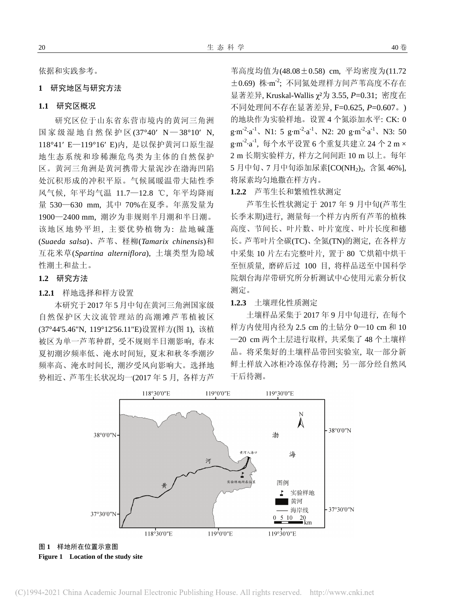依据和实践参考。

## **1** 研究地区与研究方法

#### **1.1** 研究区概况

研究区位于山东省东营市境内的黄河三角洲 国家级湿地自然保护区 (37°40′ N — 38°10′ N, 118°41′ E—119°16′ E)内, 是以保护黄河口原生湿 地生态系统和珍稀濒危鸟类为主体的自然保护 区。黄河三角洲是黄河携带大量泥沙在渤海凹陷 处沉积形成的冲积平原。气候属暖温带大陆性季 风气候, 年平均气温 11.7—12.8 ℃, 年平均降雨 量 530—630 mm, 其中 70%在夏季。年蒸发量为 1900—2400 mm, 潮汐为非规则半月潮和半日潮。 该地区地势平坦, 主要优势植物为: 盐地碱蓬 (*Suaeda salsa*)、芦苇、柽柳(*Tamarix chinensis*)和 互花米草(*Spartina alterniflora*), 土壤类型为隐域 性潮土和盐土。

## **1.2** 研究方法

#### **1.2.1** 样地选择和样方设置

本研究于 2017 年 5 月中旬在黄河三角洲国家级 自然保护区大汶流管理站的高潮滩芦苇植被区 (37°44'5.46"N, 119°12'56.11"E)设置样方(图 1), 该植 被区为单一芦苇种群, 受不规则半日潮影响, 春末 夏初潮汐频率低、淹水时间短, 夏末和秋冬季潮汐 频率高、淹水时间长, 潮汐受风向影响大。选择地 势相近、芦苇生长状况均一(2017 年 5 月, 各样方芦 苇高度均值为(48.08±0.58) cm, 平均密度为(11.72 ±0.69) 株·m -2 ; 不同氮处理样方间芦苇高度不存在 显著差异, Kruskal-Wallis χ²为 3.55, *P*=0.31; 密度在 不同处理间不存在显著差异, F=0.625, *P*=0.607。) 的地块作为实验样地。设置 4 个氮添加水平: CK: 0  $g \cdot m^{-2} \cdot a^{-1}$ , N1: 5  $g \cdot m^{-2} \cdot a^{-1}$ , N2: 20  $g \cdot m^{-2} \cdot a^{-1}$ , N3: 50 g·m<sup>-2</sup>·a<sup>-1</sup>, 每个水平设置 6 个重复共建立 24 个 2 m × 2 m 长期实验样方, 样方之间间距 10 m 以上。每年 5 月中旬、7 月中旬添加尿素[CO(NH<sub>2</sub>)<sub>2</sub>, 含氮 46%], 将尿素均匀地撒在样方内。

**1.2.2** 芦苇生长和繁殖性状测定

芦苇生长性状测定于 2017 年 9 月中旬(芦苇生 长季末期)进行, 测量每一个样方内所有芦苇的植株 高度、节间长、叶片数、叶片宽度、叶片长度和穗 长。芦苇叶片全碳(TC)、全氮(TN)的测定, 在各样方 中采集 10 片左右完整叶片, 置于 80 ℃烘箱中烘干 至恒质量, 磨碎后过 100 目, 将样品送至中国科学 院烟台海岸带研究所分析测试中心使用元素分析仪 测定。

#### **1.2.3** 土壤理化性质测定

土壤样品采集于 2017 年 9 月中旬进行, 在每个 样方内使用内径为 2.5 cm 的土钻分 0—10 cm 和 10 —20 cm 两个土层进行取样, 共采集了 48 个土壤样 品。将采集好的土壤样品带回实验室, 取一部分新 鲜土样放入冰柜冷冻保存待测; 另一部分经自然风 干后待测。

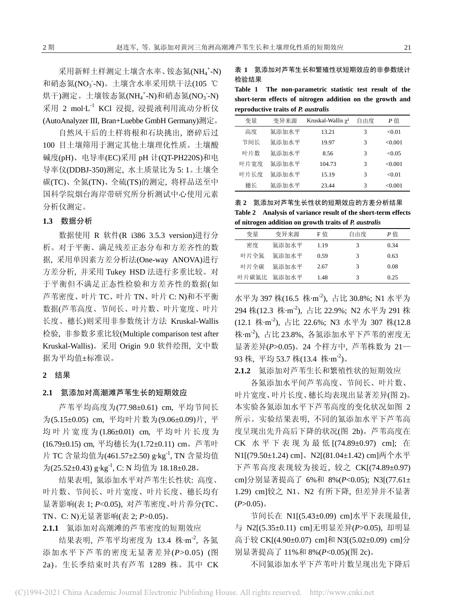采用新鲜土样测定土壤含水率、铵态氮(NH4+N) 和硝态氮(NO<sub>3</sub>-N)。土壤含水率采用烘干法(105 ℃ 烘干)测定。土壤铵态氮(NH4<sup>+</sup>-N)和硝态氮(NO<sub>3</sub>-N)  $R$ 用 2 mol $L^{-1}$  KCl 浸提, 浸提液利用流动分析仪 (AutoAnalyzer III, Bran+Luebbe GmbH Germany)测定。

自然风干后的土样将根和石块挑出, 磨碎后过 100 目土壤筛用于测定其他土壤理化性质。土壤酸 碱度(pH)、电导率(EC)采用 pH 计(QT-PH220S)和电 导率仪(DDBJ-350)测定, 水土质量比为 5: 1。土壤全 碳(TC)、全氮(TN)、全硫(TS)的测定, 将样品送至中 国科学院烟台海岸带研究所分析测试中心使用元素 分析仪测定。

## **1.3** 数据分析

数据使用 R 软件(R i386 3.5.3 version)进行分 析。对于平衡、满足残差正态分布和方差齐性的数 据, 采用单因素方差分析法(One-way ANOVA)进行 方差分析, 并采用 Tukey HSD 法进行多重比较。对 于平衡但不满足正态性检验和方差齐性的数据(如 芦苇密度、叶片 TC、叶片 TN、叶片 C: N)和不平衡 数据(芦苇高度、节间长、叶片数、叶片宽度、叶片 长度、穗长)则采用非参数统计方法 Kruskal-Wallis 检验, 非参数多重比较(Multiple comparison test after Kruskal-Wallis)。采用 Origin 9.0 软件绘图, 文中数 据为平均值±标准误。

#### **2** 结果

#### **2.1** 氮添加对高潮滩芦苇生长的短期效应

芦苇平均高度为(77.98±0.61) cm, 平均节间长 为(5.15±0.05) cm, 平均叶片数为(9.06±0.09)片, 平 均叶片宽度为 (1.86±0.01) cm, 平均叶片长度为 (16.79±0.15) cm, 平均穗长为(1.72±0.11) cm。芦苇叶 片 TC 含量均值为(461.57±2.50) g·kg-1, TN 含量均值 为(25.52±0.43) g·kg-1, C: N 均值为 18.18±0.28。

结果表明, 氮添加水平对芦苇生长性状: 高度、 叶片数、节间长、叶片宽度、叶片长度、穗长均有 显著影响(表 1; *P*<0.05), 对芦苇密度、叶片养分(TC、 TN、C: N)无显著影响(表 2; *P*>0.05)。

**2.1.1** 氮添加对高潮滩的芦苇密度的短期效应

结果表明, 芦苇平均密度为 13.4 株·m<sup>-2</sup>, 各氮 添加水平下芦苇的密度无显著差异(*P*>0.05) (图 2a)。生长季结束时共有芦苇 1289 株。其中 CK 表 **1** 氮添加对芦苇生长和繁殖性状短期效应的非参数统计 检验结果

**Table 1 The non-parametric statistic test result of the short-term effects of nitrogen addition on the growth and reproductive traits of** *P. australis*

| 变量   | 变异来源  | Kruskal-Wallis $\chi^2$ | 自由度 | P信      |
|------|-------|-------------------------|-----|---------|
| 高度   | 氮添加水平 | 13.21                   | 3   | <0.01   |
| 节间长  | 氯添加水平 | 19.97                   | 3   | <0.001  |
| 叶片数  | 氯添加水平 | 8.56                    | 3   | < 0.05  |
| 叶片宽度 | 氯添加水平 | 104.73                  | 3   | <0.001  |
| 叶片长度 | 氮添加水平 | 15.19                   | 3   | < 0.01  |
| 穗长   | 氯添加水平 | 23.44                   | 3   | < 0.001 |

表 **2** 氮添加对芦苇生长性状的短期效应的方差分析结果 **Table 2 Analysis of variance result of the short-term effects of nitrogen addition on growth traits of** *P. australis*

| 变量    | 变异来源  | F 值  | 自由度 | P佰   |
|-------|-------|------|-----|------|
| 密度    | 氮添加水平 | 1.19 | 3   | 0.34 |
| 叶片全氮  | 氮添加水平 | 0.59 |     | 0.63 |
| 叶片全碳  | 氮添加水平 | 2.67 | 3   | 0.08 |
| 叶片碳氮比 | 氮添加水平 | 1.48 | 3   | 0.25 |

水平为 397 株(16.5 株·m<sup>-2</sup>), 占比 30.8%; N1 水平为 294 株(12.3 株·m<sup>-2</sup>), 占比 22.9%; N2 水平为 291 株 (12.1 株·m -2), 占比 22.6%; N3 水平为 307 株(12.8 株·m -2), 占比 23.8%, 各氮添加水平下芦苇的密度无 显著差异(*P*>0.05)。24 个样方中, 芦苇株数为 21— 93 株, 平均 53.7 株(13.4 株·m<sup>-2</sup>)。

**2.1.2** 氮添加对芦苇生长和繁殖性状的短期效应

各氮添加水平间芦苇高度、节间长、叶片数、 叶片宽度、叶片长度、穗长均表现出显著差异(图 2)。 本实验各氮添加水平下芦苇高度的变化状况如图 2 所示。实验结果表明, 不同的氮添加水平下芦苇高 度呈现出先升高后下降的状况(图 2b)。芦苇高度在 CK 水平下表现为最低 [(74.89±0.97) cm]; 在 N1[(79.50±1.24) cm]、N2[(81.04±1.42) cm]两个水平 下芦苇高度表现较为接近, 较之 CK[(74.89±0.97) cm]分别显著提高了 6%和 8%(*P*<0.05); N3[(77.61± 1.29) cm]较之 N1、N2 有所下降, 但差异并不显著  $(P>0.05)$ 。

节间长在 N1[(5.43±0.09) cm]水平下表现最佳, 与 N2[(5.35±0.11) cm]无明显差异(*P*>0.05), 却明显 高于较 CK[(4.90±0.07) cm]和 N3[(5.02±0.09) cm]分 别显著提高了 11%和 8%(*P*<0.05)(图 2c)。

不同氮添加水平下芦苇叶片数呈现出先下降后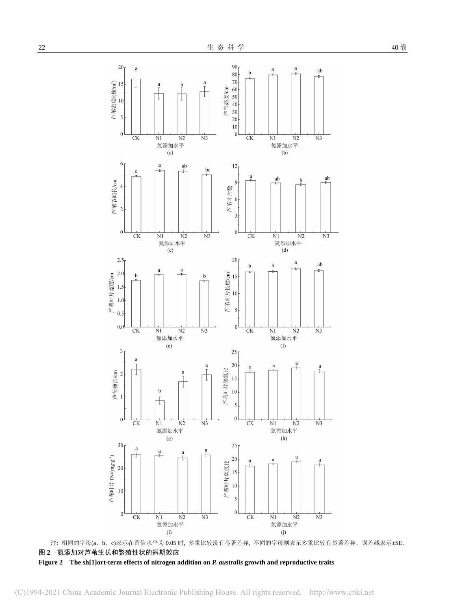

注: 相同的字母(a、b、c)表示在置信水平为 0.05 时, 多重比较没有显著差异, 不同的字母则表示多重比较有显著差异。误差线表示±SE。 图 **2** 氮添加对芦苇生长和繁殖性状的短期效应

**Figure 2 The sh[1]ort-term effects of nitrogen addition on** *P. australis* **growth and reproductive traits**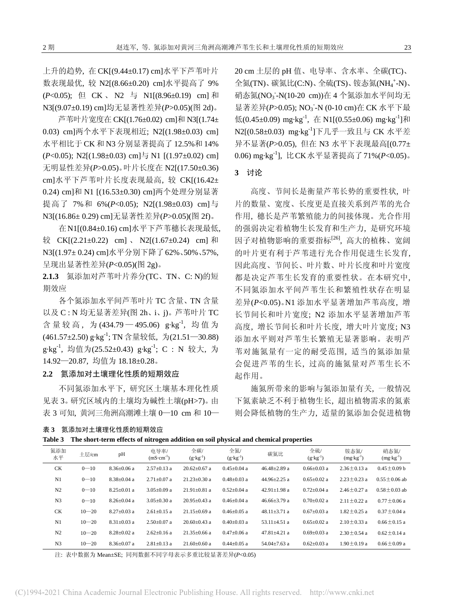上升的趋势, 在 CK[(9.44±0.17) cm]水平下芦苇叶片 数表现最优, 较 N2[(8.66±0.20) cm]水平提高了 9% (*P*<0.05); 但 CK 、 N2 与 N1[(8.96±0.19) cm] 和 N3[(9.07±0.19) cm]均无显著性差异(*P*>0.05)(图 2d)。

芦苇叶片宽度在 CK[(1.76±0.02) cm]和 N3[(1.74± 0.03) cm]两个水平下表现相近; N2[(1.98±0.03) cm] 水平相比于 CK 和 N3 分别显著提高了 12.5%和 14%  $(P<0.05)$ ; N2 $[(1.98\pm0.03)$  cm  $\frac{1}{7}$  N1  $[(1.97\pm0.02)$  cm 无明显性差异(*P*>0.05)。叶片长度在 N2[(17.50±0.36) cm]水平下芦苇叶片长度表现最高, 较 CK[(16.42± 0.24) cm]和 N1 [(16.53±0.30) cm]两个处理分别显著 提高了 7%和 6%(P<0.05); N2[(1.98±0.03) cm]与 N3[(16.86± 0.29) cm]无显著性差异(*P*>0.05)(图 2f)。

在N1[(0.84±0.16) cm]水平下芦苇穗长表现最低, 较 CK[(2.21±0.22) cm]、 N2[(1.67±0.24) cm] 和 N3[(1.97± 0.24) cm]水平分别下降了62%、50%、57%, 呈现出显著性差异(*P*<0.05)(图 2g)。

**2.1.3** 氮添加对芦苇叶片养分(TC、TN、C: N)的短 期效应

各个氮添加水平间芦苇叶片 TC 含量、TN 含量 以及 C : N 均无显著差异(图 2h、i、j)。芦苇叶片 TC 含量较高, 为(434.79-495.06) g·kg<sup>-1</sup>, 均值为 (461.57±2.50) g·kg-1; TN 含量较低, 为(21.51—30.88)  $g \cdot kg^{-1}$ , 均值为(25.52±0.43)  $g \cdot kg^{-1}$ ; C : N 较大, 为 14.92—20.87, 均值为 18.18±0.28。

#### **2.2** 氮添加对土壤理化性质的短期效应

不同氮添加水平下, 研究区土壤基本理化性质 见表 3。研究区域内的土壤均为碱性土壤(pH>7)。由 表 3 可知, 黄河三角洲高潮滩土壤 0—10 cm 和 10—

表 **3** 氮添加对土壤理化性质的短期效应

20 cm 土层的 pH 值、电导率、含水率、全碳(TC)、 全氮(TN)、碳氮比(C:N)、全硫(TS)、铵态氮(NH4<sup>+</sup>-N)、 硝态氮(NO<sub>3</sub>-N(10-20 cm))在 4 个氮添加水平间均无 显著差异(P>0.05); NO<sub>3</sub>-N (0-10 cm)在 CK 水平下最 低(0.45±0.09) mg·kg<sup>-1</sup>, 在 N1[(0.55±0.06) mg·kg<sup>-1</sup>]和 N2[(0.58±0.03) mg·kg-1]下几乎一致且与 CK 水平差 异不显著(*P*>0.05), 但在 N3 水平下表现最高[(0.77± 0.06) mg·kg-1], 比CK水平显著提高了71%(*P*<0.05)。

## **3** 讨论

高度、节间长是衡量芦苇长势的重要性状, 叶 片的数量、宽度、长度更是直接关系到芦苇的光合 作用, 穗长是芦苇繁殖能力的间接体现。光合作用 的强弱决定着植物生长发育和生产力, 是研究环境 因子对植物影响的重要指标[26], 高大的植株、宽阔 的叶片更有利于芦苇进行光合作用促进生长发育, 因此高度、节间长、叶片数、叶片长度和叶片宽度 都是决定芦苇生长发育的重要性状。在本研究中, 不同氮添加水平间芦苇生长和繁殖性状存在明显 差异(*P*<0.05)。N1 添加水平显著增加芦苇高度, 增 长节间长和叶片宽度; N2 添加水平显著增加芦苇 高度, 增长节间长和叶片长度, 增大叶片宽度; N3 添加水平则对芦苇生长繁殖无显著影响。表明芦 苇对施氮量有一定的耐受范围, 适当的氮添加量 会促进芦苇的生长, 过高的施氮量对芦苇生长不 起作用。

施氮所带来的影响与氮添加量有关, 一般情况 下氮素缺乏不利于植物生长, 超出植物需求的氮素 则会降低植物的生产力, 适量的氮添加会促进植物

| 表 3   氮添加对土壤埋化性质的短期效应 |
|-----------------------|
|                       |

|  | Table 3 The short-term effects of nitrogen addition on soil physical and chemical properties |  |  |  |  |  |  |  |  |
|--|----------------------------------------------------------------------------------------------|--|--|--|--|--|--|--|--|
|--|----------------------------------------------------------------------------------------------|--|--|--|--|--|--|--|--|

| 氮添加<br>水平      | 土层/cm     | pH                | 电导率/<br>$(mS \cdot cm^{-1})$ | 全碳/<br>$(g \cdot kg^{-1})$ | 全氮/<br>$(g \cdot kg^{-1})$ | 碳氮比                | 全硫/<br>$(g \cdot kg^{-1})$ | 铵态氮/<br>$(mg \cdot kg^{-1})$ | 硝态氮/<br>$(mg \cdot kg^{-1})$ |
|----------------|-----------|-------------------|------------------------------|----------------------------|----------------------------|--------------------|----------------------------|------------------------------|------------------------------|
| <b>CK</b>      | $0 - 10$  | $8.36 \pm 0.06$ a | $2.57 \pm 0.13$ a            | $20.62 \pm 0.67$ a         | $0.45 \pm 0.04$ a          | $46.48 \pm 2.89$ a | $0.66 \pm 0.03$ a          | $2.36 \pm 0.13$ a            | $0.45 \pm 0.09$ b            |
| N1             | $0 - 10$  | $8.38 \pm 0.04$ a | $2.71 \pm 0.07$ a            | $21.23 \pm 0.30$ a         | $0.48 \pm 0.03$ a          | 44.96 $\pm$ 2.25 a | $0.65 \pm 0.02$ a          | $2.23 \pm 0.23$ a            | $0.55 \pm 0.06$ ab           |
| N <sub>2</sub> | $0 - 10$  | $8.25 \pm 0.01$ a | $3.05 \pm 0.09$ a            | $21.91 \pm 0.81$ a         | $0.52 \pm 0.04$ a          | 42.91 $\pm$ 1.98 a | $0.72 \pm 0.04$ a          | $2.46 \pm 0.27$ a            | $0.58 + 0.03$ ab             |
| N <sub>3</sub> | $0 - 10$  | $8.26 \pm 0.04$ a | $3.05 \pm 0.30$ a            | $20.95 \pm 0.43$ a         | $0.46 \pm 0.04$ a          | $46.66 \pm 3.79$ a | $0.70 \pm 0.02$ a          | $2.11 \pm 0.22$ a            | $0.77 + 0.06$ a              |
| <b>CK</b>      | $10 - 20$ | $8.27 \pm 0.03$ a | $2.61 \pm 0.15$ a            | $21.15 \pm 0.69$ a         | $0.46 \pm 0.05$ a          | $48.11 \pm 3.71$ a | $0.67 \pm 0.03$ a          | $1.82 \pm 0.25$ a            | $0.37 \pm 0.04$ a            |
| N1             | $10 - 20$ | $8.31 \pm 0.03$ a | $2.50+0.07$ a                | $20.60 + 0.43$ a           | $0.40 \pm 0.03$ a          | $53.11 \pm 4.51$ a | $0.65 \pm 0.02$ a          | $2.10 \pm 0.33$ a            | $0.66 \pm 0.15$ a            |
| N <sub>2</sub> | $10 - 20$ | $8.28 \pm 0.02$ a | $2.62 \pm 0.16$ a            | $21.35 + 0.66$ a           | $0.47 + 0.06$ a            | $47.81 + 4.21$ a   | $0.69 + 0.03$ a            | $2.30 \pm 0.54$ a            | $0.62 \pm 0.14$ a            |
| N <sub>3</sub> | $10 - 20$ | $8.36 \pm 0.07$ a | $2.81 \pm 0.13$ a            | $21.60 + 0.60$ a           | $0.44 \pm 0.05$ a          | $54.04 \pm 7.63$ a | $0.62 \pm 0.03$ a          | $1.90 \pm 0.19$ a            | $0.66 \pm 0.09$ a            |

注: 表中数据为 Mean±SE; 同列数据不同字母表示多重比较显著差异(*P*<0.05)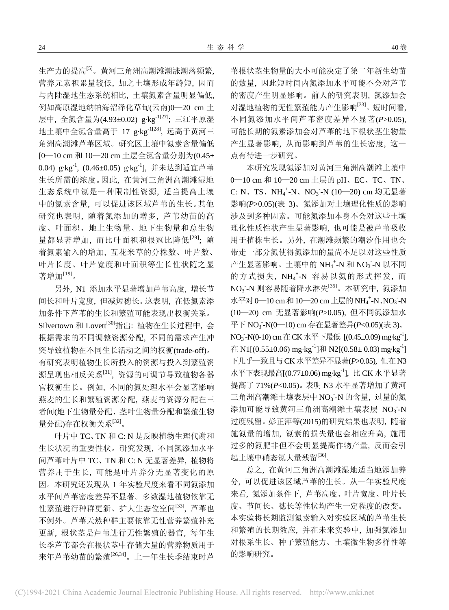生产力的提高[5]。黄河三角洲高潮滩潮涨潮落频繁, 营养元素积累量较低, 加之土壤形成年龄短, 因而 与内陆湿地生态系统相比, 土壤氮素含量明显偏低, 例如高原湿地纳帕海沼泽化草甸(云南)0—20 cm 土 层中, 全氮含量为(4.93±0.02) g·kg<sup>-1[27]</sup>; 三江平原湿 地土壤中全氮含量高于 17 g·kg-1[28], 远高于黄河三 角洲高潮滩芦苇区域。研究区土壤中氮素含量偏低 [0—10 cm 和 10—20 cm 土层全氮含量分别为(0.45± 0.04) g·kg-1, (0.46±0.05) g·kg-1], 并未达到适宜芦苇 生长所需的浓度。因此, 在黄河三角洲高潮滩湿地 生态系统中氮是一种限制性资源, 适当提高土壤 中的氮素含量, 可以促进该区域芦苇的生长。其他 研究也表明, 随着氮添加的增多, 芦苇幼苗的高 度、叶面积、地上生物量、地下生物量和总生物 量都显著增加, 而比叶面积和根冠比降低<sup>[29]</sup>; 随 着氮素输入的增加, 互花米草的分株数、叶片数、 叶片长度、叶片宽度和叶面积等生长性状随之显 著增加[19]。

另外, N1 添加水平显著增加芦苇高度, 增长节 间长和叶片宽度, 但减短穗长。这表明, 在低氮素添 加条件下芦苇的生长和繁殖可能表现出权衡关系。 Silvertown 和 Lovett<sup>[30]</sup>指出: 植物在生长过程中, 会 根据需求的不同调整资源分配, 不同的需求产生冲 突导致植物在不同生长活动之间的权衡(trade-off)。 有研究表明植物生长所投入的资源与投入到繁殖资 源呈现出相反关系[31], 资源的可调节导致植物各器 官权衡生长。例如, 不同的氮处理水平会显著影响 燕麦的生长和繁殖资源分配, 燕麦的资源分配在三 者间(地下生物量分配、茎叶生物量分配和繁殖生物 量分配)存在权衡关系[32]。

叶片中 TC、TN 和 C: N 是反映植物生理代谢和 生长状况的重要性状。研究发现, 不同氮添加水平 间芦苇叶片中 TC、TN 和 C: N 无显著差异, 植物将 营养用于生长, 可能是叶片养分无显著变化的原 因。本研究还发现从 1 年实验尺度来看不同氮添加 水平间芦苇密度差异不显著。多数湿地植物依靠无 性繁殖进行种群更新、扩大生态位空间[33], 芦苇也 不例外。芦苇天然种群主要依靠无性营养繁殖补充 更新, 根状茎是芦苇进行无性繁殖的器官, 每年生 长季芦苇都会在根状茎中存储大量的营养物质用于 来年芦苇幼苗的繁殖<sup>[26,34]</sup>。上一年生长季结束时芦

苇根状茎生物量的大小可能决定了第二年新生幼苗 的数量, 因此短时间内氮添加水平可能不会对芦苇 的密度产生明显影响。前人的研究表明, 氮添加会 对湿地植物的无性繁殖能力产生影响[33]。短时间看, 不同氮添加水平间芦苇密度差异不显著(*P*>0.05), 可能长期的氮素添加会对芦苇的地下根状茎生物量 产生显著影响, 从而影响到芦苇的生长密度, 这一 点有待进一步研究。

本研究发现氮添加对黄河三角洲高潮滩土壤中 0—10 cm 和 10—20 cm 土层的 pH、EC、TC、TN、 C: N、TS、NH<sub>4</sub><sup>+</sup>-N、NO<sub>3</sub>-N (10-20) cm 均无显著 影响(*P*>0.05)(表 3)。氮添加对土壤理化性质的影响 涉及到多种因素。可能氮添加本身不会对这些土壤 理化性质性状产生显著影响, 也可能是被芦苇吸收 用于植株生长。另外, 在潮滩频繁的潮汐作用也会 带走一部分氮使得氮添加的量尚不足以对这些性质 产生显著影响。土壤中的 $NH_4$ <sup>+</sup>-N 和 $NO_3$ -N 以不同 的方式损失, NH4+N 容易以氨的形式挥发, 而  $\rm NO_3$ - $\rm N$  则容易随着降水淋失 $^{\rm [35]}$ 。本研究中, 氮添加 水平对 0-10 cm 和 10-20 cm 土层的 NH<sub>4</sub><sup>+</sup>-N、NO<sub>3</sub>-N (10—20) cm 无显著影响(*P*>0.05), 但不同氮添加水 平下 NO<sub>3</sub>-N(0-10) cm 存在显著差异(*P<*0.05)(表 3)。 NO<sub>3</sub>-N(0-10) cm在CK水平下最低 [(0.45±0.09) mg·kg<sup>-1</sup>], 在 N1[(0.55±0.06) mg·kg<sup>-1</sup>]和 N2[(0.58± 0.03) mg·kg<sup>-1</sup>] 下几乎一致且与CK 水平差异不显著(*P*>0.05), 但在N3 水平下表现最高[(0.77±0.06) mg·kg-1], 比 CK 水平显著 提高了 71%(*P*<0.05)。表明 N3 水平显著增加了黄河 三角洲高潮滩土壤表层中 NO<sub>3</sub>-N 的含量, 过量的氮 添加可能导致黄河三角洲高潮滩土壤表层 NO<sub>3</sub>-N 过度残留。彭正萍等(2015)的研究结果也表明, 随着 施氮量的增加, 氮素的损失量也会相应升高, 施用 过多的氮肥非但不会明显提高作物产量, 反而会引 起土壤中硝态氮大量残留[36]。

总之, 在黄河三角洲高潮滩湿地适当地添加养 分, 可以促进该区域芦苇的生长。从一年实验尺度 来看, 氮添加条件下, 芦苇高度、叶片宽度、叶片长 度、节间长、穗长等性状均产生一定程度的改变。 本实验将长期监测氮素输入对实验区域的芦苇生长 和繁殖的长期效应, 并在未来实验中, 加强氮添加 对根系生长、种子繁殖能力、土壤微生物多样性等 的影响研究。